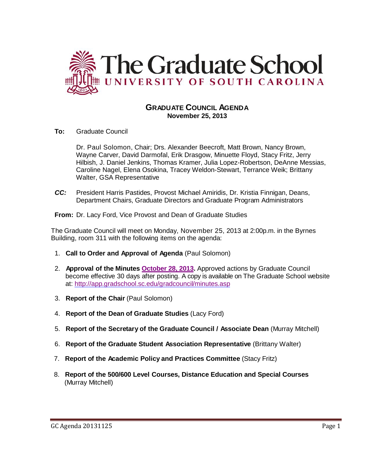

# **GRADUATE COUNCIL AGENDA November 25, 2013**

**To:** Graduate Council

Dr. Paul Solomon, Chair; Drs. Alexander Beecroft, Matt Brown, Nancy Brown, Wayne Carver, David Darmofal, Erik Drasgow, Minuette Floyd, Stacy Fritz, Jerry Hilbish, J. Daniel Jenkins, Thomas Kramer, Julia Lopez-Robertson, DeAnne Messias, Caroline Nagel, Elena Osokina, Tracey Weldon-Stewart, Terrance Weik; Brittany Walter, GSA Representative

*CC:* President Harris Pastides, Provost Michael Amiridis, Dr. Kristia Finnigan, Deans, Department Chairs, Graduate Directors and Graduate Program Administrators

**From:** Dr. Lacy Ford, Vice Provost and Dean of Graduate Studies

The Graduate Council will meet on Monday, November 25, 2013 at 2:00p.m. in the Byrnes Building, room 311 with the following items on the agenda:

- 1. **Call to Order and Approval of Agenda** (Paul Solomon)
- 2. **Approval of the Minutes [October 28, 2013.](http://gradschool.sc.edu/facstaff/gradcouncil/2013/GCMinutes%2010%2028%2013%20final.pdf)** Approved actions by Graduate Council become effective 30 days after posting. A copy is available on The Graduate School website at:<http://app.gradschool.sc.edu/gradcouncil/minutes.asp>
- 3. **Report of the Chair** (Paul Solomon)
- 4. **Report of the Dean of Graduate Studies** (Lacy Ford)
- 5. **Report of the Secretary of the Graduate Council / Associate Dean** (Murray Mitchell)
- 6. **Report of the Graduate Student Association Representative** (Brittany Walter)
- 7. **Report of the Academic Policy and Practices Committee** (Stacy Fritz)
- 8. **Report of the 500/600 Level Courses, Distance Education and Special Courses** (Murray Mitchell)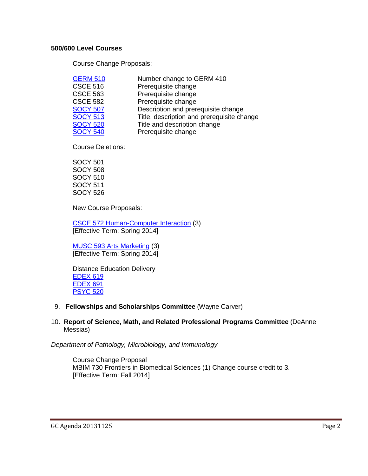## **500/600 Level Courses**

Course Change Proposals:

| <b>GERM 510</b> | Number change to GERM 410                  |
|-----------------|--------------------------------------------|
| <b>CSCE 516</b> | Prerequisite change                        |
| <b>CSCE 563</b> | Prerequisite change                        |
| <b>CSCE 582</b> | Prerequisite change                        |
| <b>SOCY 507</b> | Description and prerequisite change        |
| <b>SOCY 513</b> | Title, description and prerequisite change |
| <b>SOCY 520</b> | Title and description change               |
| <b>SOCY 540</b> | Prerequisite change                        |

Course Deletions:

SOCY 501 SOCY 508 SOCY 510 SOCY 511 SOCY 526

New Course Proposals:

CSCE 572 Human-Computer Interaction (3) [Effective Term: Spring 2014]

MUSC 593 Arts Marketing (3) [Effective Term: Spring 2014]

Distance Education Delivery EDEX 619 EDEX 691 PSYC 520

9. **Fellowships and Scholarships Committee** (Wayne Carver)

## 10. **Report of Science, Math, and Related Professional Programs Committee** (DeAnne Messias)

*Department of Pathology, Microbiology, and Immunology*

Course Change Proposal [MBIM 730 Frontiers in Biomedical Sciences](http://gradschool.sc.edu/facstaff/gradcouncil/2013/MBIM%20730%20Frontiers%20in%20Biomedical%20Sciences_Redacted.pdf) (1) Change course credit to 3. [Effective Term: Fall 2014]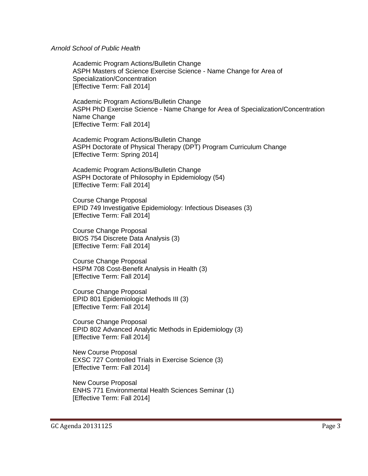*Arnold School of Public Health*

Academic Program Actions/Bulletin Change [ASPH Masters of Science Exercise](http://gradschool.sc.edu/facstaff/gradcouncil/2013/MS%20EXercise%20SCience%20apa%20ASPH_Redacted.pdf) Science - Name Change for Area of [Specialization/Concentration](http://gradschool.sc.edu/facstaff/gradcouncil/2013/MS%20EXercise%20SCience%20apa%20ASPH_Redacted.pdf) [Effective Term: Fall 2014]

Academic Program Actions/Bulletin Change ASPH PhD Exercise Science - [Name Change for Area of Specialization/Concentration](http://gradschool.sc.edu/facstaff/gradcouncil/2013/PhD%20%20EXercise%20SCience%20APA%20ASPH_Redacted.pdf) Name Change [Effective Term: Fall 2014]

Academic Program Actions/Bulletin Change [ASPH Doctorate of Physical Therapy \(DPT\) Program Curriculum Change](http://gradschool.sc.edu/facstaff/gradcouncil/2013/DPT%20EXercise%20SCience%20APA%20ASPH_Redacted.pdf) [Effective Term: Spring 2014]

Academic Program Actions/Bulletin Change [ASPH Doctorate of Philosophy in Epidemiology \(54\)](http://gradschool.sc.edu/facstaff/gradcouncil/2013/DPT%20EXercise%20SCience%20APA%20ASPH_Redacted.pdf) [Effective Term: Fall 2014]

Course Change Proposal [EPID 749 Investigative Epidemiology: Infectious Diseases](http://gradschool.sc.edu/facstaff/gradcouncil/2013/EPID%20749%20CCP%20_Redacted.pdf) (3) [Effective Term: Fall 2014]

Course Change Proposal [BIOS 754 Discrete Data Analysis](http://gradschool.sc.edu/facstaff/gradcouncil/2013/BIOS%20754%20CCP_Redacted.pdf) (3) [Effective Term: Fall 2014]

Course Change Proposal [HSPM 708 Cost-Benefit Analysis in Health](http://gradschool.sc.edu/facstaff/gradcouncil/2013/HSPM%20708%20CCP_Redacted.pdf) (3) [Effective Term: Fall 2014]

Course Change Proposal [EPID 801 Epidemiologic Methods III](http://gradschool.sc.edu/facstaff/gradcouncil/2013/EPID%20801%20CCP.pdf) (3) [Effective Term: Fall 2014]

Course Change Proposal [EPID 802 Advanced Analytic Methods in Epidemiology](http://gradschool.sc.edu/facstaff/gradcouncil/2013/EPID%20802%20CCP.pdf) (3) [Effective Term: Fall 2014]

New Course Proposal [EXSC 727 Controlled Trials in Exercise Science](http://gradschool.sc.edu/facstaff/gradcouncil/2013/EXSC%20727_Redacted.pdf) (3) [Effective Term: Fall 2014]

New Course Proposal [ENHS 771 Environmental Health Sciences Seminar](http://gradschool.sc.edu/facstaff/gradcouncil/2013/ENHS%20771_Redacted.pdf) (1) [Effective Term: Fall 2014]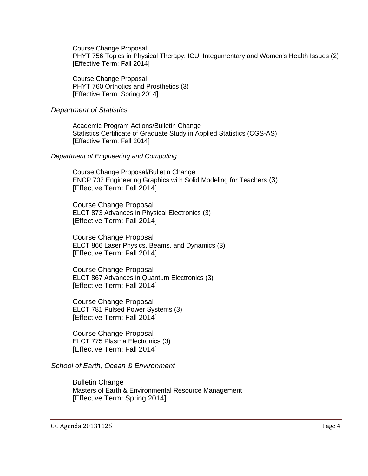Course Change Proposal [PHYT 756 Topics in Physical Therapy: ICU, Integumentary and Women's Health Issues](http://gradschool.sc.edu/facstaff/gradcouncil/2013/PHYT%20756%20CCP_Redacted.pdf) (2) [Effective Term: Fall 2014]

Course Change Proposal [PHYT 760 Orthotics and Prosthetics](http://gradschool.sc.edu/facstaff/gradcouncil/2013/PHYT%20760%20CCP_Redacted.pdf) (3) [Effective Term: Spring 2014]

#### *Department of Statistics*

Academic Program Actions/Bulletin Change [Statistics Certificate of Graduate Study in Applied Statistics \(CGS-AS\)](http://gradschool.sc.edu/facstaff/gradcouncil/2013/Statistics%20Certificate%20of%20Graduate%20Study%20in%20Applied%20Statistics%20(CGS-AS).pdf) [Effective Term: Fall 2014]

### *Department of Engineering and Computing*

Course Change Proposal/Bulletin Change [ENCP 702 Engineering Graphics with Solid Modeling for Teachers](http://gradschool.sc.edu/facstaff/gradcouncil/2013/ENCP%20702%20CCP_Redacted.pdf) (3) [Effective Term: Fall 2014]

Course Change Proposal [ELCT 873 Advances in Physical Electronics](http://gradschool.sc.edu/facstaff/gradcouncil/2013/ELCT%20873_Redacted.pdf) (3) [Effective Term: Fall 2014]

Course Change Proposal [ELCT 866 Laser Physics, Beams, and Dynamics](http://gradschool.sc.edu/facstaff/gradcouncil/2013/elct%20866_Redacted.pdf) (3) [Effective Term: Fall 2014]

Course Change Proposal [ELCT 867 Advances in Quantum Electronics](http://gradschool.sc.edu/facstaff/gradcouncil/2013/ELCT%20867%20ccp_Redacted.pdf) (3) [Effective Term: Fall 2014]

Course Change Proposal [ELCT 781 Pulsed Power Systems](http://gradschool.sc.edu/facstaff/gradcouncil/2013/ELCT%20781_Redacted.pdf) (3) [Effective Term: Fall 2014]

Course Change Proposal [ELCT 775 Plasma Electronics](http://gradschool.sc.edu/facstaff/gradcouncil/2013/ELCT%20775%20CCP_Redacted.pdf) (3) [Effective Term: Fall 2014]

*School of Earth, Ocean & Environment*

Bulletin Change [Masters of Earth & Environmental Resource Management](http://gradschool.sc.edu/facstaff/gradcouncil/2013/MEERM%20BCH%2010-18_Redacted.pdf) [Effective Term: Spring 2014]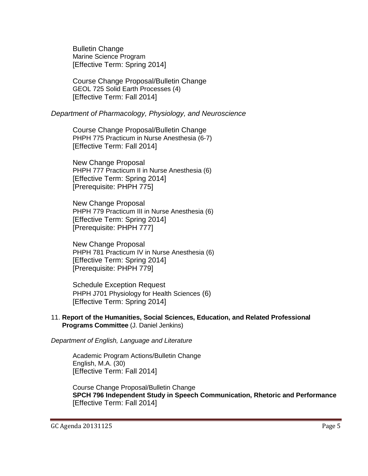Bulletin Change [Marine Science Program](http://gradschool.sc.edu/facstaff/gradcouncil/2013/Marine%20Science%20Program%20BCH%209-30_Redacted.pdf)  [Effective Term: Spring 2014]

Course Change Proposal/Bulletin Change [GEOL 725 Solid Earth Processes](http://gradschool.sc.edu/facstaff/gradcouncil/2013/GEOL%20725%20CCP_Redacted.pdf) (4) [Effective Term: Fall 2014]

## *Department of Pharmacology, Physiology, and Neuroscience*

Course Change Proposal/Bulletin Change [PHPH 775 Practicum in Nurse Anesthesia](http://gradschool.sc.edu/facstaff/gradcouncil/2013/PHPH%20775%20CCP_Redacted.pdf) (6-7) [Effective Term: Fall 2014]

New Change Proposal [PHPH 777 Practicum II in Nurse Anesthesia](http://gradschool.sc.edu/facstaff/gradcouncil/2013/PHPH%20777%20NCP_Redacted.pdf) (6) [Effective Term: Spring 2014] [Prerequisite: PHPH 775]

New Change Proposal [PHPH 779 Practicum III in Nurse Anesthesia](http://gradschool.sc.edu/facstaff/gradcouncil/2013/PHPH%20779%20NCP_Redacted.pdf) (6) [Effective Term: Spring 2014] [Prerequisite: PHPH 777]

New Change Proposal PHPH 781 [Practicum IV in Nurse Anesthesia](http://gradschool.sc.edu/facstaff/gradcouncil/2013/PHPH%20779%20NCP_Redacted.pdf) (6) [Effective Term: Spring 2014] [Prerequisite: PHPH 779]

Schedule Exception Request [PHPH J701 Physiology for Health Sciences](http://gradschool.sc.edu/facstaff/gradcouncil/2013/PHPH%20J701_Redacted.pdf) (6) [Effective Term: Spring 2014]

## 11. **Report of the Humanities, Social Sciences, Education, and Related Professional Programs Committee** (J. Daniel Jenkins)

*Department of English, Language and Literature*

Academic Program Actions/Bulletin Change [English, M.A.](http://gradschool.sc.edu/facstaff/gradcouncil/2013/APA%20ENGL%20MA%20AOE%20Spch%20Comm%20curr%20change%20November%2020%202013%20(2).pdf) (30) [Effective Term: Fall 2014]

Course Change Proposal/Bulletin Change **[SPCH 796 Independent Study in Speech Communication, Rhetoric and Performance](http://gradschool.sc.edu/facstaff/gradcouncil/2013/814%20CCP%20SPCH%20796_Redacted.pdf)** [Effective Term: Fall 2014]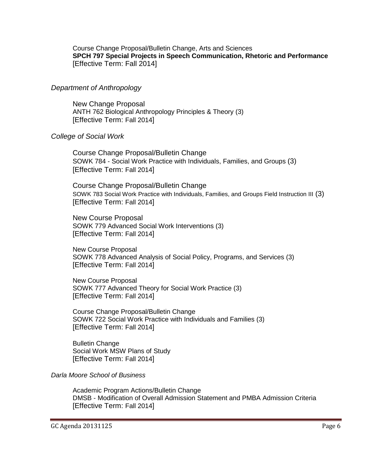Course Change Proposal/Bulletin Change, Arts and Sciences **[SPCH 797 Special Projects in Speech Communication, Rhetoric and Performance](http://gradschool.sc.edu/facstaff/gradcouncil/2013/814%20CCP%20SPCH%20797%20BCH%20JUS_Redacted.pdf)** [Effective Term: Fall 2014]

## *Department of Anthropology*

New Change Proposal [ANTH 762 Biological Anthropology Principles & Theory](http://gradschool.sc.edu/facstaff/gradcouncil/2013/ANTH%20762%20NCP_Redacted1.pdf) (3) [Effective Term: Fall 2014]

### *College of Social Work*

Course Change Proposal/Bulletin Change SOWK 784 - [Social Work Practice with Individuals, Families, and Groups](http://gradschool.sc.edu/facstaff/gradcouncil/2013/SOWK%20784%20CCP_Redacted.pdf) (3) [Effective Term: Fall 2014]

Course Change Proposal/Bulletin Change [SOWK 783 Social Work Practice with Individuals, Families, and Groups Field Instruction III](http://gradschool.sc.edu/facstaff/gradcouncil/2013/SOWK%20783%20Social%20Work%20Practice%20with%20Individuals,%20Families%20and%20Groups%20Field%20Instruction%20III_Redacted.pdf) (3) [Effective Term: Fall 2014]

New Course Proposal [SOWK 779 Advanced Social Work Interventions](http://gradschool.sc.edu/facstaff/gradcouncil/2013/SOWK%20779%20NCP_Redacted1.pdf) (3) [Effective Term: Fall 2014]

New Course Proposal [SOWK 778 Advanced Analysis of Social Policy, Programs, and](http://gradschool.sc.edu/facstaff/gradcouncil/2013/SOWK%20778%20NCP_Redacted1.pdf) Services (3) [Effective Term: Fall 2014]

New Course Proposal [SOWK 777 Advanced Theory for Social Work Practice](http://gradschool.sc.edu/facstaff/gradcouncil/2013/SOWK%20777%20NCP_Redacted2.pdf) (3) [Effective Term: Fall 2014]

Course Change Proposal/Bulletin Change [SOWK 722 Social Work Practice with Individuals and Families](http://gradschool.sc.edu/facstaff/gradcouncil/2013/SOWK%20722%20CCP_Redacted1.pdf) (3) [Effective Term: Fall 2014]

Bulletin Change [Social Work MSW Plans of Study](http://gradschool.sc.edu/facstaff/gradcouncil/2013/SOWK%20BCH%20MSW%20Plan%20of%20Study.pdf) [Effective Term: Fall 2014]

*Darla Moore School of Business*

Academic Program Actions/Bulletin Change DMSB - [Modification of Overall Admission Statement and PMBA Admission Criteria](http://gradschool.sc.edu/facstaff/gradcouncil/2013/PMBA%20Modification%20to%20Master) [Effective Term: Fall 2014]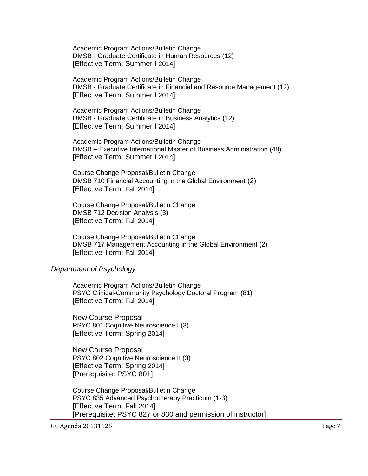Academic Program Actions/Bulletin Change DMSB - [Graduate Certificate in Human Resources](http://gradschool.sc.edu/facstaff/gradcouncil/2013/APA%20Grad%20Cert%20HR_Redacted.pdf) (12) [Effective Term: Summer I 2014]

Academic Program Actions/Bulletin Change DMSB - [Graduate Certificate in Financial and Resource Management](http://gradschool.sc.edu/facstaff/gradcouncil/2013/APA%20Financial%20and%20Resource%20Mgmt.pdf) (12) [Effective Term: Summer I 2014]

Academic Program Actions/Bulletin Change DMSB - [Graduate Certificate in Business Analytics](http://gradschool.sc.edu/facstaff/gradcouncil/2013/APA%20Graduate%20Certificate%20in%20Business%20Analytics_Redacted.pdf) (12) [Effective Term: Summer I 2014]

Academic Program Actions/Bulletin Change DMSB – [Executive International Master of Business Administration](http://gradschool.sc.edu/facstaff/gradcouncil/2013/APA%20Executive%20International%20Master%20of%20Business%20Administration_Redacted.pdf) (48) [Effective Term: Summer I 2014]

Course Change Proposal/Bulletin Change [DMSB 710 Financial Accounting in the Global Environment](http://gradschool.sc.edu/facstaff/gradcouncil/2013/CCP%20DMSB%20710_Redacted.pdf) (2) [Effective Term: Fall 2014]

Course Change Proposal/Bulletin Change [DMSB 712 Decision Analysis](http://gradschool.sc.edu/facstaff/gradcouncil/2013/DMSB%20712%20Decision%20Analysis_Redacted.pdf) (3) [Effective Term: Fall 2014]

Course Change Proposal/Bulletin Change [DMSB 717 Management Accounting in the Global Environment](http://gradschool.sc.edu/facstaff/gradcouncil/2013/DMSB%20717_Redacted.pdf) (2) [Effective Term: Fall 2014]

#### *Department of Psychology*

Academic Program Actions/Bulletin Change [PSYC Clinical-Community Psychology Doctoral Program](http://gradschool.sc.edu/facstaff/gradcouncil/2013/PSYC%20Clinical-Community%20Psychology%20Doctoral%20Program%20APA_Redacted.pdf) (81) [Effective Term: Fall 2014]

New Course Proposal [PSYC 801 Cognitive Neuroscience I](http://gradschool.sc.edu/facstaff/gradcouncil/2013/PSYC%20801%20Cognitive%20Neuroscience%20I_Redacted.pdf) (3) [Effective Term: Spring 2014]

New Course Proposal [PSYC 802 Cognitive Neuroscience II](http://gradschool.sc.edu/facstaff/gradcouncil/2013/PSYC%20802%20Cognitive%20Neuroscience%20II_Redacted.pdf) (3) [Effective Term: Spring 2014] [Prerequisite: PSYC 801]

Course Change Proposal/Bulletin Change [PSYC 835 Advanced Psychotherapy Practicum](http://gradschool.sc.edu/facstaff/gradcouncil/2013/PSYC%20835%20CCP%20w%20new%20syll_Redacted.pdf) (1-3) [Effective Term: Fall 2014] [Prerequisite: PSYC 827 or 830 and permission of instructor]